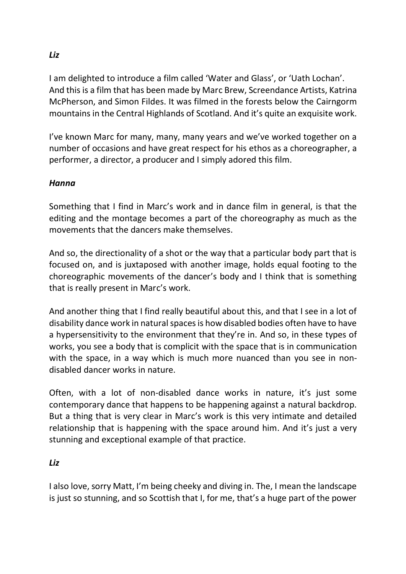I am delighted to introduce a film called 'Water and Glass', or 'Uath Lochan'. And this is a film that has been made by Marc Brew, Screendance Artists, Katrina McPherson, and Simon Fildes. It was filmed in the forests below the Cairngorm mountains in the Central Highlands of Scotland. And it's quite an exquisite work.

I've known Marc for many, many, many years and we've worked together on a number of occasions and have great respect for his ethos as a choreographer, a performer, a director, a producer and I simply adored this film.

## *Hanna*

Something that I find in Marc's work and in dance film in general, is that the editing and the montage becomes a part of the choreography as much as the movements that the dancers make themselves.

And so, the directionality of a shot or the way that a particular body part that is focused on, and is juxtaposed with another image, holds equal footing to the choreographic movements of the dancer's body and I think that is something that is really present in Marc's work.

And another thing that I find really beautiful about this, and that I see in a lot of disability dance work in natural spaces is how disabled bodies often have to have a hypersensitivity to the environment that they're in. And so, in these types of works, you see a body that is complicit with the space that is in communication with the space, in a way which is much more nuanced than you see in nondisabled dancer works in nature.

Often, with a lot of non-disabled dance works in nature, it's just some contemporary dance that happens to be happening against a natural backdrop. But a thing that is very clear in Marc's work is this very intimate and detailed relationship that is happening with the space around him. And it's just a very stunning and exceptional example of that practice.

## *Liz*

I also love, sorry Matt, I'm being cheeky and diving in. The, I mean the landscape is just so stunning, and so Scottish that I, for me, that's a huge part of the power

*Liz*